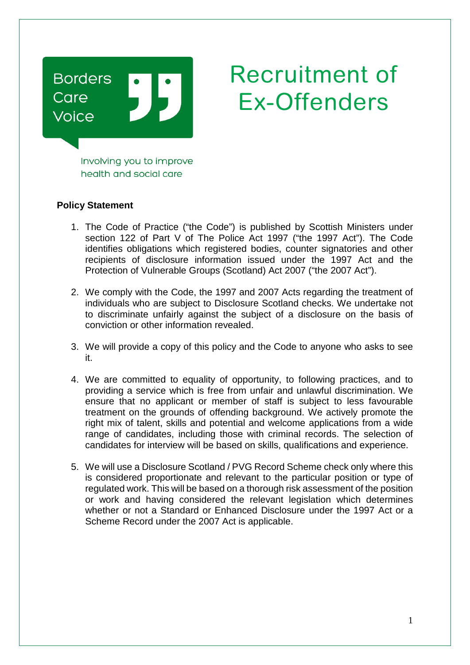

## Recruitment of Ex-Offenders

Involving you to improve health and social care

## **Policy Statement**

- 1. The Code of Practice ("the Code") is published by Scottish Ministers under section 122 of Part V of The Police Act 1997 ("the 1997 Act"). The Code identifies obligations which registered bodies, counter signatories and other recipients of disclosure information issued under the 1997 Act and the Protection of Vulnerable Groups (Scotland) Act 2007 ("the 2007 Act").
- 2. We comply with the Code, the 1997 and 2007 Acts regarding the treatment of individuals who are subject to Disclosure Scotland checks. We undertake not to discriminate unfairly against the subject of a disclosure on the basis of conviction or other information revealed.
- 3. We will provide a copy of this policy and the Code to anyone who asks to see it.
- 4. We are committed to equality of opportunity, to following practices, and to providing a service which is free from unfair and unlawful discrimination. We ensure that no applicant or member of staff is subject to less favourable treatment on the grounds of offending background. We actively promote the right mix of talent, skills and potential and welcome applications from a wide range of candidates, including those with criminal records. The selection of candidates for interview will be based on skills, qualifications and experience.
- 5. We will use a Disclosure Scotland / PVG Record Scheme check only where this is considered proportionate and relevant to the particular position or type of regulated work. This will be based on a thorough risk assessment of the position or work and having considered the relevant legislation which determines whether or not a Standard or Enhanced Disclosure under the 1997 Act or a Scheme Record under the 2007 Act is applicable.